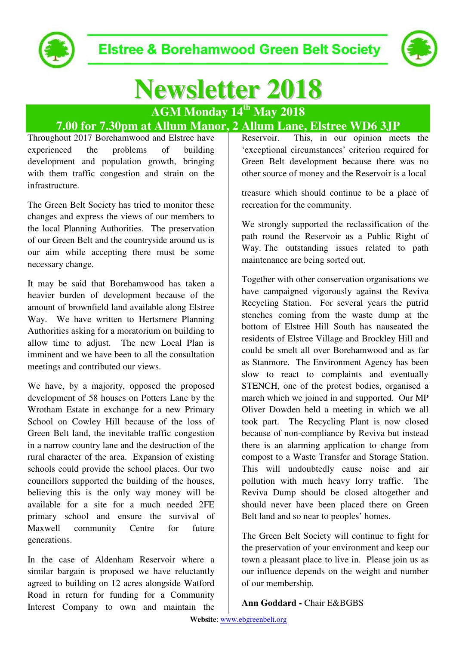

# **Newsletter 2018**

# **AGM Monday 14th May 2018**

## **7.00 for 7.30pm at Allum Manor, 2 Allum Lane, Elstree WD6 3JP**

Throughout 2017 Borehamwood and Elstree have experienced the problems of building development and population growth, bringing with them traffic congestion and strain on the infrastructure.

The Green Belt Society has tried to monitor these changes and express the views of our members to the local Planning Authorities. The preservation of our Green Belt and the countryside around us is our aim while accepting there must be some necessary change.

It may be said that Borehamwood has taken a heavier burden of development because of the amount of brownfield land available along Elstree Way. We have written to Hertsmere Planning Authorities asking for a moratorium on building to allow time to adjust. The new Local Plan is imminent and we have been to all the consultation meetings and contributed our views.

We have, by a majority, opposed the proposed development of 58 houses on Potters Lane by the Wrotham Estate in exchange for a new Primary School on Cowley Hill because of the loss of Green Belt land, the inevitable traffic congestion in a narrow country lane and the destruction of the rural character of the area. Expansion of existing schools could provide the school places. Our two councillors supported the building of the houses, believing this is the only way money will be available for a site for a much needed 2FE primary school and ensure the survival of Maxwell community Centre for future generations.

In the case of Aldenham Reservoir where a similar bargain is proposed we have reluctantly agreed to building on 12 acres alongside Watford Road in return for funding for a Community Interest Company to own and maintain the

This, in our opinion meets the 'exceptional circumstances' criterion required for Green Belt development because there was no other source of money and the Reservoir is a local

treasure which should continue to be a place of recreation for the community.

We strongly supported the reclassification of the path round the Reservoir as a Public Right of Way. The outstanding issues related to path maintenance are being sorted out.

Together with other conservation organisations we have campaigned vigorously against the Reviva Recycling Station. For several years the putrid stenches coming from the waste dump at the bottom of Elstree Hill South has nauseated the residents of Elstree Village and Brockley Hill and could be smelt all over Borehamwood and as far as Stanmore. The Environment Agency has been slow to react to complaints and eventually STENCH, one of the protest bodies, organised a march which we joined in and supported. Our MP Oliver Dowden held a meeting in which we all took part. The Recycling Plant is now closed because of non-compliance by Reviva but instead there is an alarming application to change from compost to a Waste Transfer and Storage Station. This will undoubtedly cause noise and air pollution with much heavy lorry traffic. The Reviva Dump should be closed altogether and should never have been placed there on Green Belt land and so near to peoples' homes.

The Green Belt Society will continue to fight for the preservation of your environment and keep our town a pleasant place to live in. Please join us as our influence depends on the weight and number of our membership.

#### **Ann Goddard -** Chair E&BGBS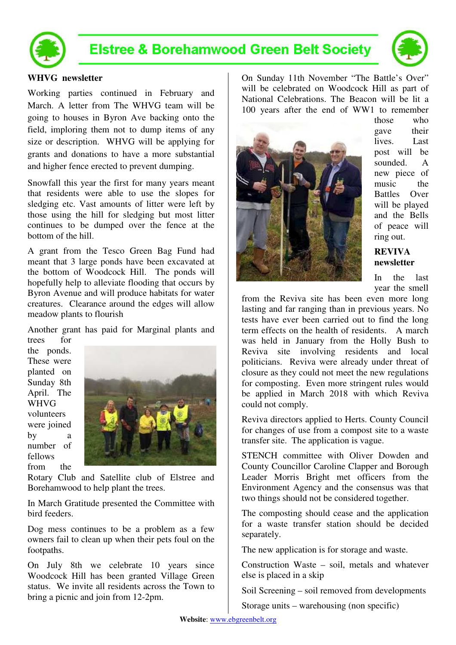

### **Elstree & Borehamwood Green Belt Society**



#### **WHVG newsletter**

Working parties continued in February and March. A letter from The WHVG team will be going to houses in Byron Ave backing onto the field, imploring them not to dump items of any size or description. WHVG will be applying for grants and donations to have a more substantial and higher fence erected to prevent dumping.

Snowfall this year the first for many years meant that residents were able to use the slopes for sledging etc. Vast amounts of litter were left by those using the hill for sledging but most litter continues to be dumped over the fence at the bottom of the hill.

A grant from the Tesco Green Bag Fund had meant that 3 large ponds have been excavated at the bottom of Woodcock Hill. The ponds will hopefully help to alleviate flooding that occurs by Byron Avenue and will produce habitats for water creatures. Clearance around the edges will allow meadow plants to flourish

Another grant has paid for Marginal plants and trees for

the ponds. These were planted on Sunday 8th April. The WHVG volunteers were joined by a number of fellows from the



Rotary Club and Satellite club of Elstree and Borehamwood to help plant the trees.

In March Gratitude presented the Committee with bird feeders.

Dog mess continues to be a problem as a few owners fail to clean up when their pets foul on the footpaths.

On July 8th we celebrate 10 years since Woodcock Hill has been granted Village Green status. We invite all residents across the Town to bring a picnic and join from 12-2pm.

On Sunday 11th November "The Battle's Over" will be celebrated on Woodcock Hill as part of National Celebrations. The Beacon will be lit a 100 years after the end of WW1 to remember



those who gave their lives. Last post will be sounded. A new piece of music the Battles Over will be played and the Bells of peace will ring out.

#### **REVIVA newsletter**

In the last year the smell

from the Reviva site has been even more long lasting and far ranging than in previous years. No tests have ever been carried out to find the long term effects on the health of residents. A march was held in January from the Holly Bush to Reviva site involving residents and local politicians. Reviva were already under threat of closure as they could not meet the new regulations for composting. Even more stringent rules would be applied in March 2018 with which Reviva could not comply.

Reviva directors applied to Herts. County Council for changes of use from a compost site to a waste transfer site. The application is vague.

STENCH committee with Oliver Dowden and County Councillor Caroline Clapper and Borough Leader Morris Bright met officers from the Environment Agency and the consensus was that two things should not be considered together.

The composting should cease and the application for a waste transfer station should be decided separately.

The new application is for storage and waste.

Construction Waste – soil, metals and whatever else is placed in a skip

Soil Screening – soil removed from developments

Storage units – warehousing (non specific)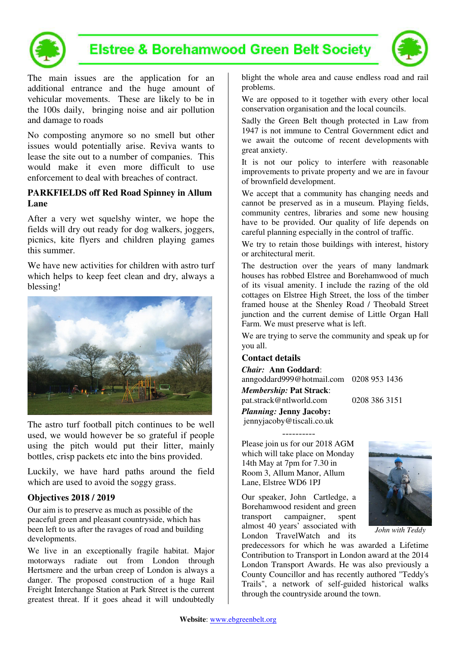

### **Elstree & Borehamwood Green Belt Society**



The main issues are the application for an additional entrance and the huge amount of vehicular movements. These are likely to be in the 100s daily, bringing noise and air pollution and damage to roads

No composting anymore so no smell but other issues would potentially arise. Reviva wants to lease the site out to a number of companies. This would make it even more difficult to use enforcement to deal with breaches of contract.

#### **PARKFIELDS off Red Road Spinney in Allum Lane**

After a very wet squelshy winter, we hope the fields will dry out ready for dog walkers, joggers, picnics, kite flyers and children playing games this summer.

We have new activities for children with astro turf which helps to keep feet clean and dry, always a blessing!



The astro turf football pitch continues to be well used, we would however be so grateful if people using the pitch would put their litter, mainly bottles, crisp packets etc into the bins provided.

Luckily, we have hard paths around the field which are used to avoid the soggy grass.

#### **Objectives 2018 / 2019**

Our aim is to preserve as much as possible of the peaceful green and pleasant countryside, which has been left to us after the ravages of road and building developments.

We live in an exceptionally fragile habitat. Major motorways radiate out from London through Hertsmere and the urban creep of London is always a danger. The proposed construction of a huge Rail Freight Interchange Station at Park Street is the current greatest threat. If it goes ahead it will undoubtedly blight the whole area and cause endless road and rail problems.

We are opposed to it together with every other local conservation organisation and the local councils.

Sadly the Green Belt though protected in Law from 1947 is not immune to Central Government edict and we await the outcome of recent developments with great anxiety.

It is not our policy to interfere with reasonable improvements to private property and we are in favour of brownfield development.

We accept that a community has changing needs and cannot be preserved as in a museum. Playing fields, community centres, libraries and some new housing have to be provided. Our quality of life depends on careful planning especially in the control of traffic.

We try to retain those buildings with interest, history or architectural merit.

The destruction over the years of many landmark houses has robbed Elstree and Borehamwood of much of its visual amenity. I include the razing of the old cottages on Elstree High Street, the loss of the timber framed house at the Shenley Road / Theobald Street junction and the current demise of Little Organ Hall Farm. We must preserve what is left.

We are trying to serve the community and speak up for you all.

#### **Contact details**

*Chair:* **Ann Goddard**: anngoddard999@hotmail.com 0208 953 1436

*Membership:* **Pat Strack**: pat.strack@ntlworld.com 0208 386 3151

*Planning:* **Jenny Jacoby:**  jennyjacoby@tiscali.co.uk

Please join us for our 2018 AGM which will take place on Monday 14th May at 7pm for 7.30 in Room 3, Allum Manor, Allum Lane, Elstree WD6 1PJ

----------

Our speaker, John Cartledge, a Borehamwood resident and green transport campaigner, spent almost 40 years' associated with London TravelWatch and its



*John with Teddy*

predecessors for which he was awarded a Lifetime Contribution to Transport in London award at the 2014 London Transport Awards. He was also previously a County Councillor and has recently authored "Teddy's Trails", a network of self-guided historical walks through the countryside around the town.